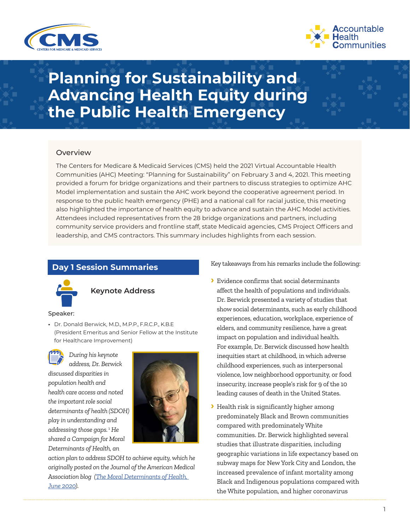



# **Planning for Sustainability and Advancing Health Equity during the Public Health Emergency**

# **Overview**

The Centers for Medicare & Medicaid Services (CMS) held the 2021 Virtual Accountable Health Communities (AHC) Meeting: "Planning for Sustainability" on February 3 and 4, 2021. This meeting provided a forum for bridge organizations and their partners to discuss strategies to optimize AHC Model implementation and sustain the AHC work beyond the cooperative agreement period. In response to the public health emergency (PHE) and a national call for racial justice, this meeting also highlighted the importance of health equity to advance and sustain the AHC Model activities. Attendees included representatives from the 28 bridge organizations and partners, including community service providers and frontline staff, state Medicaid agencies, CMS Project Officers and leadership, and CMS contractors. This summary includes highlights from each session.

# **Day 1 Session Summaries**



# **Keynote Address**

### Speaker:

**•** Dr. Donald Berwick, M.D., M.P.P., F.R.C.P., K.B.E (President Emeritus and Senior Fellow at the Institute for Healthcare Improvement)



*During his keynote address, Dr. Berwick* 

*discussed disparities in population health and health care access and noted the important role social determinants of health (SDOH) play in understanding and addressing those gaps.* [1](#page-8-0) *He shared a Campaign for Moral Determinants of Health, an* 



*action plan to address SDOH to achieve equity, which he originally posted on the Journal of the American Medical Association blog [\(The Moral Determinants of Health,](https://nam12.safelinks.protection.outlook.com/?url=https%3A%2F%2Fjamanetwork.com%2Fjournals%2Fjama%2Ffullarticle%2F2767353&data=04%7C01%7CSFlowers%40Mathematica-Mpr.com%7C28bf2bca6629447613e808d90105e52e%7C13af8d650b4b4c0fa446a427419abfd6%7C0%7C0%7C637541947109203614%7CUnknown%7CTWFpbGZsb3d8eyJWIjoiMC4wLjAwMDAiLCJQIjoiV2luMzIiLCJBTiI6Ik1haWwiLCJXVCI6Mn0%3D%7C1000&sdata=h%2FSjjnMUqwaIHxVbBTpp%2FtfUnltUKy4oIEZ7ZOR6ToA%3D&reserved=0)  [June 2020\)](https://nam12.safelinks.protection.outlook.com/?url=https%3A%2F%2Fjamanetwork.com%2Fjournals%2Fjama%2Ffullarticle%2F2767353&data=04%7C01%7CSFlowers%40Mathematica-Mpr.com%7C28bf2bca6629447613e808d90105e52e%7C13af8d650b4b4c0fa446a427419abfd6%7C0%7C0%7C637541947109203614%7CUnknown%7CTWFpbGZsb3d8eyJWIjoiMC4wLjAwMDAiLCJQIjoiV2luMzIiLCJBTiI6Ik1haWwiLCJXVCI6Mn0%3D%7C1000&sdata=h%2FSjjnMUqwaIHxVbBTpp%2FtfUnltUKy4oIEZ7ZOR6ToA%3D&reserved=0).*

Key takeaways from his remarks include the following:

- **›** Evidence confirms that social determinants affect the health of populations and individuals. Dr. Berwick presented a variety of studies that show social determinants, such as early childhood experiences, education, workplace, experience of elders, and community resilience, have a great impact on population and individual health. For example, Dr. Berwick discussed how health inequities start at childhood, in which adverse childhood experiences, such as interpersonal violence, low neighborhood opportunity, or food insecurity, increase people's risk for 9 of the 10 leading causes of death in the United States.
- **›** Health risk is significantly higher among predominately Black and Brown communities compared with predominately White communities. Dr. Berwick highlighted several studies that illustrate disparities, including geographic variations in life expectancy based on subway maps for New York City and London, the increased prevalence of infant mortality among Black and Indigenous populations compared with the White population, and higher coronavirus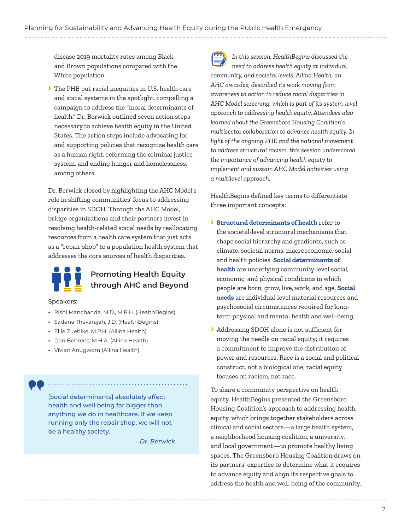disease 2019 mortality rates among Black and Brown populations compared with the White population.

**›** The PHE put racial inequities in U.S. health care and social systems in the spotlight, compelling a campaign to address the "moral determinants of health." Dr. Berwick outlined seven action steps necessary to achieve health equity in the United States. The action steps include advocating for and supporting policies that recognize health care as a human right, reforming the criminal justice system, and ending hunger and homelessness, among others.

Dr. Berwick closed by highlighting the AHC Model's role in shifting communities' focus to addressing disparities in SDOH. Through the AHC Model, bridge organizations and their partners invest in resolving health-related social needs by reallocating resources from a health care system that just acts as a "repair shop" to a population health system that addresses the core sources of health disparities.



# **Promoting Health Equity through AHC and Beyond**

### Speakers:

- **•** Rishi Manchanda, M.D., M.P.H. (HealthBegins)
- **•** Sadena Thevarajah, J.D. (HealthBegins)
- **•** Ellie Zuehlke, M.P.H. (Allina Health)
- **•** Dan Behrens, M.H.A. (Allina Health)
- **•** Vivian Anugwom (Allina Health)

[Social determinants] absolutely affect health and well being far bigger than anything we do in healthcare. If we keep running only the repair shop, we will not be a healthy society.

–*Dr. Berwick*

. . . . . . . . . . . . . . . . . . . .



*In this session, HealthBegins discussed the need to address health equity at individual, community, and societal levels. Allina Health, an AHC awardee, described its work moving from awareness to action to reduce racial disparities in AHC Model screening, which is part of its system-level approach to addressing health equity. Attendees also learned about the Greensboro Housing Coalition's multisector collaboration to advance health equity. In light of the ongoing PHE and the national movement to address structural racism, this session underscored the importance of advancing health equity to implement and sustain AHC Model activities using a multilevel approach.*

HealthBegins defined key terms to differentiate three important concepts:

- **› Structural determinants of health** refer to the societal-level structural mechanisms that shape social hierarchy and gradients, such as climate, societal norms, macroeconomic, social, and health policies. **Social determinants of health** are underlying community-level social, economic, and physical conditions in which people are born, grow, live, work, and age. **Social needs** are individual-level material resources and psychosocial circumstances required for longterm physical and mental health and well-being.
- **›** Addressing SDOH alone is not sufficient for moving the needle on racial equity; it requires a commitment to improve the distribution of power and resources. Race is a social and political construct, not a biological one; racial equity focuses on racism, not race.

To share a community perspective on health equity, HealthBegins presented the Greensboro Housing Coalition's approach to addressing health equity, which brings together stakeholders across clinical and social sectors—a large health system, a neighborhood housing coalition, a university, and local government—to promote healthy living spaces. The Greensboro Housing Coalition draws on its partners' expertise to determine what it requires to advance equity and align its respective goals to address the health and well-being of the community.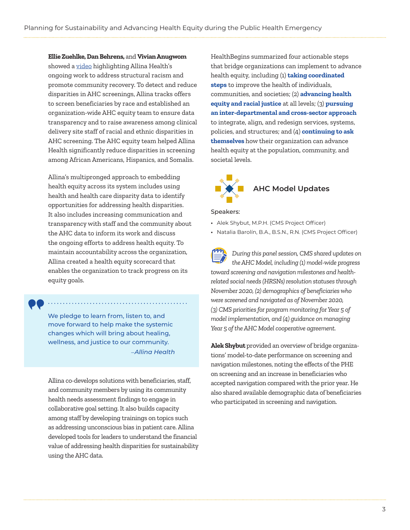**Ellie Zuehlke, Dan Behrens,** and **Vivian Anugwom**  showed a [video](https://players.brightcove.net/pages/v1/index.html?accountId=48346509001&playerId=default&videoId=6203592074001&autoplay=true) highlighting Allina Health's ongoing work to address structural racism and promote community recovery. To detect and reduce disparities in AHC screenings, Allina tracks offers to screen beneficiaries by race and established an organization-wide AHC equity team to ensure data transparency and to raise awareness among clinical delivery site staff of racial and ethnic disparities in AHC screening. The AHC equity team helped Allina Health significantly reduce disparities in screening among African Americans, Hispanics, and Somalis.

Allina's multipronged approach to embedding health equity across its system includes using health and health care disparity data to identify opportunities for addressing health disparities. It also includes increasing communication and transparency with staff and the community about the AHC data to inform its work and discuss the ongoing efforts to address health equity. To maintain accountability across the organization, Allina created a health equity scorecard that enables the organization to track progress on its equity goals.

We pledge to learn from, listen to, and move forward to help make the systemic changes which will bring about healing, wellness, and justice to our community. –*Allina Health*

Allina co-develops solutions with beneficiaries, staff, and community members by using its community health needs assessment findings to engage in collaborative goal setting. It also builds capacity among staff by developing trainings on topics such as addressing unconscious bias in patient care. Allina developed tools for leaders to understand the financial value of addressing health disparities for sustainability using the AHC data.

HealthBegins summarized four actionable steps that bridge organizations can implement to advance health equity, including (1) **taking coordinated steps** to improve the health of individuals, communities, and societies; (2) **advancing health equity and racial justice** at all levels; (3) **pursuing an inter-departmental and cross-sector approach** to integrate, align, and redesign services, systems, policies, and structures; and (4) **continuing to ask themselves** how their organization can advance health equity at the population, community, and societal levels.



### Speakers:

- **•** Alek Shybut, M.P.H. (CMS Project Officer)
- **•** Natalia Barolín, B.A., B.S.N., R.N. (CMS Project Officer)

*During this panel session, CMS shared updates on the AHC Model, including (1) model-wide progress toward screening and navigation milestones and healthrelated social needs (HRSNs) resolution statuses through November 2020, (2) demographics of beneficiaries who were screened and navigated as of November 2020, (3) CMS priorities for program monitoring for Year 5 of model implementation, and (4) guidance on managing Year 5 of the AHC Model cooperative agreement.*

**Alek Shybut** provided an overview of bridge organizations' model-to-date performance on screening and navigation milestones, noting the effects of the PHE on screening and an increase in beneficiaries who accepted navigation compared with the prior year. He also shared available demographic data of beneficiaries who participated in screening and navigation.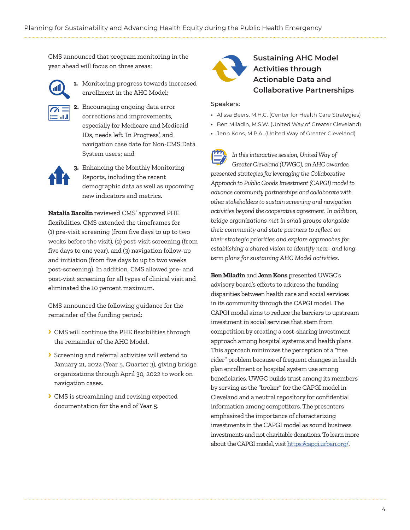CMS announced that program monitoring in the year ahead will focus on three areas:



**1.** Monitoring progress towards increased enrollment in the AHC Model;

**2.** Encouraging ongoing data error corrections and improvements, especially for Medicare and Medicaid IDs, needs left 'In Progress', and navigation case date for Non-CMS Data System users; and



**3.** Enhancing the Monthly Monitoring Reports, including the recent demographic data as well as upcoming new indicators and metrics.

**Natalia Barolín** reviewed CMS' approved PHE flexibilities. CMS extended the timeframes for (1) pre-visit screening (from five days to up to two weeks before the visit), (2) post-visit screening (from five days to one year), and (3) navigation follow-up and initiation (from five days to up to two weeks post-screening). In addition, CMS allowed pre- and post-visit screening for all types of clinical visit and eliminated the 10 percent maximum.

CMS announced the following guidance for the remainder of the funding period:

- **›** CMS will continue the PHE flexibilities through the remainder of the AHC Model.
- **›** Screening and referral activities will extend to January 21, 2022 (Year 5, Quarter 3), giving bridge organizations through April 30, 2022 to work on navigation cases.
- **›** CMS is streamlining and revising expected documentation for the end of Year 5.



# **Sustaining AHC Model Activities through Actionable Data and Collaborative Partnerships**

## Speakers:

- **•** Alissa Beers, M.H.C. (Center for Health Care Strategies)
- **•** Ben Miladin, M.S.W. (United Way of Greater Cleveland)
- **•** Jenn Kons, M.P.A. (United Way of Greater Cleveland)

*In this interactive session, United Way of Greater Cleveland (UWGC), an AHC awardee, presented strategies for leveraging the Collaborative Approach to Public Goods Investment (CAPGI) model to advance community partnerships and collaborate with other stakeholders to sustain screening and navigation activities beyond the cooperative agreement. In addition, bridge organizations met in small groups alongside their community and state partners to reflect on their strategic priorities and explore approaches for establishing a shared vision to identify near- and longterm plans for sustaining AHC Model activities.* 

**Ben Miladin** and **Jenn Kons** presented UWGC's advisory board's efforts to address the funding disparities between health care and social services in its community through the CAPGI model. The CAPGI model aims to reduce the barriers to upstream investment in social services that stem from competition by creating a cost-sharing investment approach among hospital systems and health plans. This approach minimizes the perception of a "free rider" problem because of frequent changes in health plan enrollment or hospital system use among beneficiaries. UWGC builds trust among its members by serving as the "broker" for the CAPGI model in Cleveland and a neutral repository for confidential information among competitors. The presenters emphasized the importance of characterizing investments in the CAPGI model as sound business investments and not charitable donations. To learn more about the CAPGI model, visit [https://capgi.urban.org/.](https://capgi.urban.org/)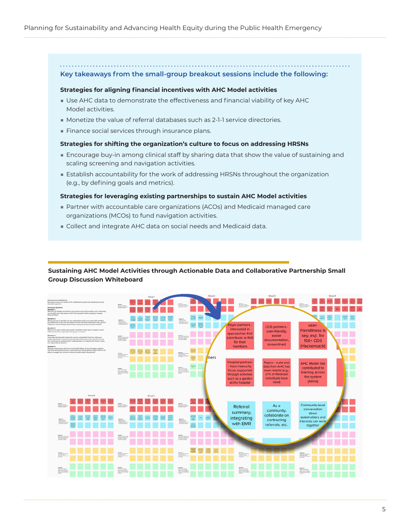**Key takeaways from the small-group breakout sessions include the following:**

#### **Strategies for aligning financial incentives with AHC Model activities**

- Use AHC data to demonstrate the effectiveness and financial viability of key AHC Model activities.
- Monetize the value of referral databases such as 2-1-1 service directories.
- Finance social services through insurance plans.

## **Strategies for shifting the organization's culture to focus on addressing HRSNs**

- Encourage buy-in among clinical staff by sharing data that show the value of sustaining and scaling screening and navigation activities.
- Establish accountability for the work of addressing HRSNs throughout the organization (e.g., by defining goals and metrics).

## **Strategies for leveraging existing partnerships to sustain AHC Model activities**

- Partner with accountable care organizations (ACOs) and Medicaid managed care organizations (MCOs) to fund navigation activities.
- Collect and integrate AHC data on social needs and Medicaid data.

## **Sustaining AHC Model Activities through Actionable Data and Collaborative Partnership Small Group Discussion Whiteboard**

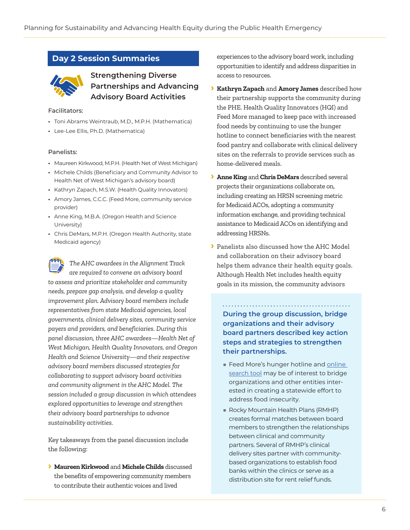# **Day 2 Session Summaries**



**Strengthening Diverse Partnerships and Advancing Advisory Board Activities**

### Facilitators:

- **•** Toni Abrams Weintraub, M.D., M.P.H. (Mathematica)
- **•** Lee-Lee Ellis, Ph.D. (Mathematica)

## Panelists:

- **•** Maureen Kirkwood, M.P.H. (Health Net of West Michigan)
- **•** Michele Childs (Beneficiary and Community Advisor to Health Net of West Michigan's advisory board)
- **•** Kathryn Zapach, M.S.W. (Health Quality Innovators)
- **•** Amory James, C.C.C. (Feed More, community service provider)
- **•** Anne King, M.B.A. (Oregon Health and Science University)
- **•** Chris DeMars, M.P.H. (Oregon Health Authority, state Medicaid agency)

*The AHC awardees in the Alignment Track are required to convene an advisory board to assess and prioritize stakeholder and community needs, prepare gap analysis, and develop a quality improvement plan. Advisory board members include representatives from state Medicaid agencies, local governments, clinical delivery sites, community service payers and providers, and beneficiaries. During this panel discussion, three AHC awardees—Health Net of West Michigan, Health Quality Innovators, and Oregon Health and Science University—and their respective advisory board members discussed strategies for collaborating to support advisory board activities and community alignment in the AHC Model. The session included a group discussion in which attendees explored opportunities to leverage and strengthen their advisory board partnerships to advance sustainability activities.*

Key takeaways from the panel discussion include the following:

**› Maureen Kirkwood** and **Michele Childs** discussed the benefits of empowering community members to contribute their authentic voices and lived

experiences to the advisory board work, including opportunities to identify and address disparities in access to resources.

- **› Kathryn Zapach** and **Amory James** described how their partnership supports the community during the PHE. Health Quality Innovators (HQI) and Feed More managed to keep pace with increased food needs by continuing to use the hunger hotline to connect beneficiaries with the nearest food pantry and collaborate with clinical delivery sites on the referrals to provide services such as home-delivered meals.
- **› Anne King** and **Chris DeMars** described several projects their organizations collaborate on, including creating an HRSN screening metric for Medicaid ACOs, adopting a community information exchange, and providing technical assistance to Medicaid ACOs on identifying and addressing HRSNs.
- **›** Panelists also discussed how the AHC Model and collaboration on their advisory board helps them advance their health equity goals. Although Health Net includes health equity goals in its mission, the community advisors

**During the group discussion, bridge organizations and their advisory board partners described key action steps and strategies to strengthen their partnerships.**

- Feed More's hunger hotline and online [search tool](https://feedmore.org/agency-network/agency-locator/) may be of interest to bridge organizations and other entities interested in creating a statewide effort to address food insecurity.
- Rocky Mountain Health Plans (RMHP) creates formal matches between board members to strengthen the relationships between clinical and community partners. Several of RMHP's clinical delivery sites partner with communitybased organizations to establish food banks within the clinics or serve as a distribution site for rent relief funds.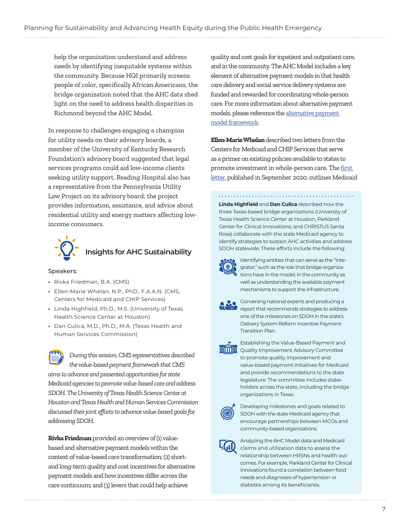help the organization understand and address needs by identifying inequitable systems within the community. Because HQI primarily screens people of color, specifically African Americans, the bridge organization noted that the AHC data shed light on the need to address health disparities in Richmond beyond the AHC Model.

In response to challenges engaging a champion for utility needs on their advisory boards, a member of the University of Kentucky Research Foundation's advisory board suggested that legal services programs could aid low-income clients seeking utility support. Reading Hospital also has a representative from the Pennsylvania Utility Law Project on its advisory board; the project provides information, assistance, and advice about residential utility and energy matters affecting lowincome consumers.



**Insights for AHC Sustainability** 

## Speakers:

- **•** Rivka Friedman, B.A. (CMS)
- **•** Ellen-Marie Whelan, N.P., PhD., F.A.A.N. (CMS, Centers for Medicaid and CHIP Services)
- **•** Linda Highfield, Ph.D., M.S. (University of Texas Health Science Center at Houston)
- **•** Dan Culica, M.D., Ph.D., M.A. (Texas Health and Human Services Commission)

*During this session, CMS representatives described the value-based payment framework that CMS aims to advance and presented opportunities for state Medicaid agencies to promote value-based care and address SDOH. The University of Texas Health Science Center at Houston and Texas Health and Human Services Commission discussed their joint efforts to advance value-based goals for addressing SDOH.* 

**Rivka Friedman** provided an overview of (1) valuebased and alternative payment models within the context of value-based care transformation; (2) shortand long-term quality and cost incentives for alternative payment models and how incentives differ across the care continuum; and (3) levers that could help achieve

quality and cost goals for inpatient and outpatient care, and in the community. The AHC Model includes a key element of alternative payment models in that health care delivery and social service delivery systems are funded and rewarded for coordinating whole-person care. For more information about alternative payment models, please reference the [alternative payment](http://hcp-lan.org/workproducts/apm-framework-onepager.pdf)  [model framework](http://hcp-lan.org/workproducts/apm-framework-onepager.pdf).

**Ellen-Marie Whelan** described two letters from the Centers for Medicaid and CHIP Services that serve as a primer on existing policies available to states to promote investment in whole-person care. The [first](https://www.medicaid.gov/Federal-Policy-Guidance/Downloads/smd20004.pdf)  [letter,](https://www.medicaid.gov/Federal-Policy-Guidance/Downloads/smd20004.pdf) published in September 2020, outlines Medicaid

**Linda Highfield** and **Dan Culica** described how the three Texas-based bridge organizations (University of Texas Health Science Center at Houston, Parkland Center for Clinical Innovations, and CHRISTUS Santa Rosa) collaborate with the state Medicaid agency to identify strategies to sustain AHC activities and address SDOH statewide. These efforts include the following:



Identifying entities that can serve as the "integrator," such as the role that bridge organizations have in the model, in the community as well as understanding the available payment mechanisms to support the infrastructure.



Convening national experts and producing a report that recommends strategies to address one of the milestones on SDOH in the state's Delivery System Reform Incentive Payment Transition Plan.



Establishing the Value-Based Payment and **HIIIIH** Quality Improvement Advisory Committee to promote quality improvement and value-based payment initiatives for Medicaid and provide recommendations to the state legislature. The committee includes stakeholders across the state, including the bridge organizations in Texas.



Developing milestones and goals related to SDOH with the state Medicaid agency that encourage partnerships between MCOs and community-based organizations.

Analyzing the AHC Model data and Medicaid claims and utilization data to assess the relationship between HRSNs and health outcomes. For example, Parkland Center for Clinical Innovations found a correlation between food needs and diagnoses of hypertension or diabetes among its beneficiaries.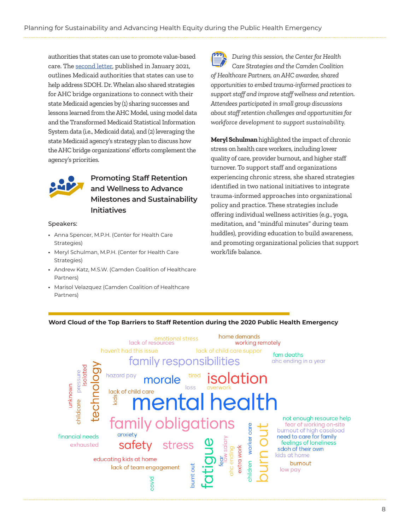authorities that states can use to promote value-based care. The [second letter,](https://www.medicaid.gov/federal-policy-guidance/downloads/sho21001.pdf) published in January 2021, outlines Medicaid authorities that states can use to help address SDOH. Dr. Whelan also shared strategies for AHC bridge organizations to connect with their state Medicaid agencies by (1) sharing successes and lessons learned from the AHC Model, using model data and the Transformed Medicaid Statistical Information System data (i.e., Medicaid data), and (2) leveraging the state Medicaid agency's strategy plan to discuss how the AHC bridge organizations' efforts complement the agency's priorities.



# **Promoting Staff Retention and Wellness to Advance Milestones and Sustainability Initiatives**

#### Speakers:

- **•** Anna Spencer, M.P.H. (Center for Health Care Strategies)
- **•** Meryl Schulman, M.P.H. (Center for Health Care Strategies)
- **•** Andrew Katz, M.S.W. (Camden Coalition of Healthcare Partners)
- **•** Marisol Velazquez (Camden Coalition of Healthcare Partners)



*During this session, the Center for Health Care Strategies and the Camden Coalition of Healthcare Partners, an AHC awardee, shared opportunities to embed trauma-informed practices to support staff and improve staff wellness and retention. Attendees participated in small group discussions about staff retention challenges and opportunities for workforce development to support sustainability.*

**Meryl Schulman** highlighted the impact of chronic stress on health care workers, including lower quality of care, provider burnout, and higher staff turnover. To support staff and organizations experiencing chronic stress, she shared strategies identified in two national initiatives to integrate trauma-informed approaches into organizational policy and practice. These strategies include offering individual wellness activities (e.g., yoga, meditation, and "mindful minutes" during team huddles), providing education to build awareness, and promoting organizational policies that support work/life balance.



# **Word Cloud of the Top Barriers to Staff Retention during the 2020 Public Health Emergency**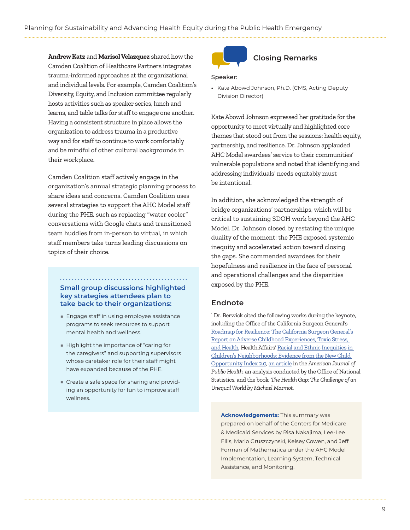<span id="page-8-0"></span>**Andrew Katz** and **Marisol Velazquez** shared how the Camden Coalition of Healthcare Partners integrates trauma-informed approaches at the organizational and individual levels. For example, Camden Coalition's Diversity, Equity, and Inclusion committee regularly hosts activities such as speaker series, lunch and learns, and table talks for staff to engage one another. Having a consistent structure in place allows the organization to address trauma in a productive way and for staff to continue to work comfortably and be mindful of other cultural backgrounds in their workplace.

Camden Coalition staff actively engage in the organization's annual strategic planning process to share ideas and concerns. Camden Coalition uses several strategies to support the AHC Model staff during the PHE, such as replacing "water cooler" conversations with Google chats and transitioned team huddles from in-person to virtual, in which staff members take turns leading discussions on topics of their choice.

# **Small group discussions highlighted key strategies attendees plan to take back to their organizations:**

- Engage staff in using employee assistance programs to seek resources to support mental health and wellness.
- Highlight the importance of "caring for the caregivers" and supporting supervisors whose caretaker role for their staff might have expanded because of the PHE.
- Create a safe space for sharing and providing an opportunity for fun to improve staff wellness.



# **Closing Remarks**

#### Speaker:

**•** Kate Abowd Johnson, Ph.D. (CMS, Acting Deputy Division Director)

Kate Abowd Johnson expressed her gratitude for the opportunity to meet virtually and highlighted core themes that stood out from the sessions: health equity, partnership, and resilience. Dr. Johnson applauded AHC Model awardees' service to their communities' vulnerable populations and noted that identifying and addressing individuals' needs equitably must be intentional.

In addition, she acknowledged the strength of bridge organizations' partnerships, which will be critical to sustaining SDOH work beyond the AHC Model. Dr. Johnson closed by restating the unique duality of the moment: the PHE exposed systemic inequity and accelerated action toward closing the gaps. She commended awardees for their hopefulness and resilience in the face of personal and operational challenges and the disparities exposed by the PHE.

# **Endnote**

<sup>1</sup> Dr. Berwick cited the following works during the keynote, including the Office of the California Surgeon General's [Roadmap for Resilience: The California Surgeon General's](https://osg.ca.gov/sg-report/)  [Report on Adverse Childhood Experiences, Toxic Stress,](https://osg.ca.gov/sg-report/)  [and Health](https://osg.ca.gov/sg-report/), Health Affairs' [Racial and Ethnic Inequities in](https://www.healthaffairs.org/doi/10.1377/hlthaff.2020.00735#:~:text=Using%20the%20Child%20Opportunity%20Index,metropolitan%20areas%20in%20the%20US)  [Children's Neighborhoods: Evidence from the New Child](https://www.healthaffairs.org/doi/10.1377/hlthaff.2020.00735#:~:text=Using%20the%20Child%20Opportunity%20Index,metropolitan%20areas%20in%20the%20US)  [Opportunity Index 2.0,](https://www.healthaffairs.org/doi/10.1377/hlthaff.2020.00735#:~:text=Using%20the%20Child%20Opportunity%20Index,metropolitan%20areas%20in%20the%20US) [an article](https://ajph.aphapublications.org/doi/pdf/10.2105/AJPH.2018.304801) in the *American Journal of Public Health,* an analysis conducted by the Office of National Statistics, and the book, *The Health Gap: The Challenge of an Unequal World by Michael Marmot.* 

**Acknowledgements:** This summary was prepared on behalf of the Centers for Medicare & Medicaid Services by Risa Nakajima, Lee-Lee Ellis, Mario Gruszczynski, Kelsey Cowen, and Jeff Forman of Mathematica under the AHC Model Implementation, Learning System, Technical Assistance, and Monitoring.